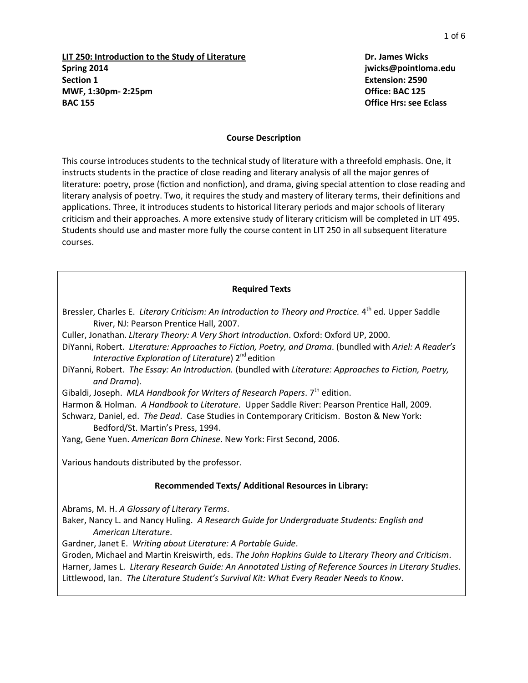**LIT 250: Introduction to the Study of Literature Dr. James Wicks Spring 2014 jwicks@pointloma.edu Section 1 Extension: 2590 MWF, 1:30pm- 2:25pm Office: BAC 125 BAC 155 Office Hrs: see Eclass**

#### **Course Description**

This course introduces students to the technical study of literature with a threefold emphasis. One, it instructs students in the practice of close reading and literary analysis of all the major genres of literature: poetry, prose (fiction and nonfiction), and drama, giving special attention to close reading and literary analysis of poetry. Two, it requires the study and mastery of literary terms, their definitions and applications. Three, it introduces students to historical literary periods and major schools of literary criticism and their approaches. A more extensive study of literary criticism will be completed in LIT 495. Students should use and master more fully the course content in LIT 250 in all subsequent literature courses.

#### **Required Texts**

- Bressler, Charles E. Literary Criticism: An Introduction to Theory and Practice. 4<sup>th</sup> ed. Upper Saddle River, NJ: Pearson Prentice Hall, 2007.
- Culler, Jonathan. *Literary Theory: A Very Short Introduction*. Oxford: Oxford UP, 2000.
- DiYanni, Robert. *Literature: Approaches to Fiction, Poetry, and Drama*. (bundled with *Ariel: A Reader's Interactive Exploration of Literature*) 2<sup>nd</sup> edition
- DiYanni, Robert. *The Essay: An Introduction.* (bundled with *Literature: Approaches to Fiction, Poetry, and Drama*).

Gibaldi, Joseph. *MLA Handbook for Writers of Research Papers*. 7<sup>th</sup> edition.

Harmon & Holman. *A Handbook to Literature*. Upper Saddle River: Pearson Prentice Hall, 2009.

Schwarz, Daniel, ed. *The Dead*. Case Studies in Contemporary Criticism. Boston & New York: Bedford/St. Martin's Press, 1994.

Yang, Gene Yuen. *American Born Chinese*. New York: First Second, 2006.

Various handouts distributed by the professor.

#### **Recommended Texts/ Additional Resources in Library:**

Abrams, M. H. *A Glossary of Literary Terms*.

Baker, Nancy L. and Nancy Huling. *A Research Guide for Undergraduate Students: English and American Literature*.

Gardner, Janet E. *Writing about Literature: A Portable Guide*.

Groden, Michael and Martin Kreiswirth, eds. *The John Hopkins Guide to Literary Theory and Criticism*. Harner, James L. *Literary Research Guide: An Annotated Listing of Reference Sources in Literary Studies*. Littlewood, Ian. *The Literature Student's Survival Kit: What Every Reader Needs to Know*.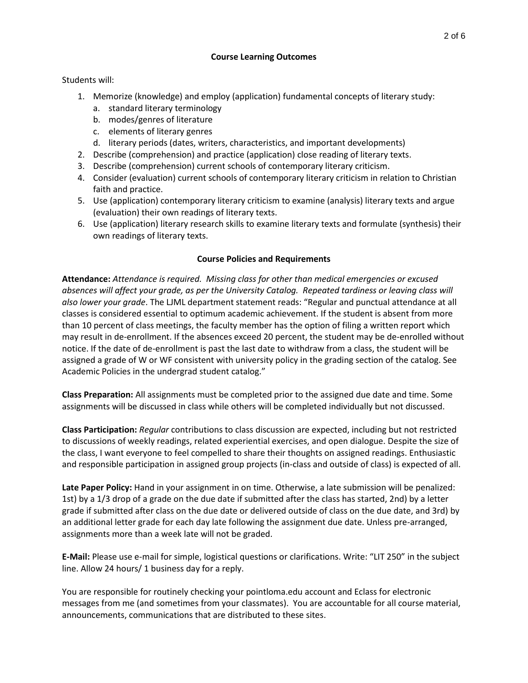## **Course Learning Outcomes**

## Students will:

- 1. Memorize (knowledge) and employ (application) fundamental concepts of literary study:
	- a. standard literary terminology
	- b. modes/genres of literature
	- c. elements of literary genres
	- d. literary periods (dates, writers, characteristics, and important developments)
- 2. Describe (comprehension) and practice (application) close reading of literary texts.
- 3. Describe (comprehension) current schools of contemporary literary criticism.
- 4. Consider (evaluation) current schools of contemporary literary criticism in relation to Christian faith and practice.
- 5. Use (application) contemporary literary criticism to examine (analysis) literary texts and argue (evaluation) their own readings of literary texts.
- 6. Use (application) literary research skills to examine literary texts and formulate (synthesis) their own readings of literary texts.

### **Course Policies and Requirements**

**Attendance:** *Attendance is required. Missing class for other than medical emergencies or excused absences will affect your grade, as per the University Catalog. Repeated tardiness or leaving class will also lower your grade*. The LJML department statement reads: "Regular and punctual attendance at all classes is considered essential to optimum academic achievement. If the student is absent from more than 10 percent of class meetings, the faculty member has the option of filing a written report which may result in de-enrollment. If the absences exceed 20 percent, the student may be de-enrolled without notice. If the date of de-enrollment is past the last date to withdraw from a class, the student will be assigned a grade of W or WF consistent with university policy in the grading section of the catalog. See Academic Policies in the undergrad student catalog."

**Class Preparation:** All assignments must be completed prior to the assigned due date and time. Some assignments will be discussed in class while others will be completed individually but not discussed.

**Class Participation:** *Regular* contributions to class discussion are expected, including but not restricted to discussions of weekly readings, related experiential exercises, and open dialogue. Despite the size of the class, I want everyone to feel compelled to share their thoughts on assigned readings. Enthusiastic and responsible participation in assigned group projects (in-class and outside of class) is expected of all.

**Late Paper Policy:** Hand in your assignment in on time. Otherwise, a late submission will be penalized: 1st) by a 1/3 drop of a grade on the due date if submitted after the class has started, 2nd) by a letter grade if submitted after class on the due date or delivered outside of class on the due date, and 3rd) by an additional letter grade for each day late following the assignment due date. Unless pre-arranged, assignments more than a week late will not be graded.

**E-Mail:** Please use e-mail for simple, logistical questions or clarifications. Write: "LIT 250" in the subject line. Allow 24 hours/ 1 business day for a reply.

You are responsible for routinely checking your pointloma.edu account and Eclass for electronic messages from me (and sometimes from your classmates). You are accountable for all course material, announcements, communications that are distributed to these sites.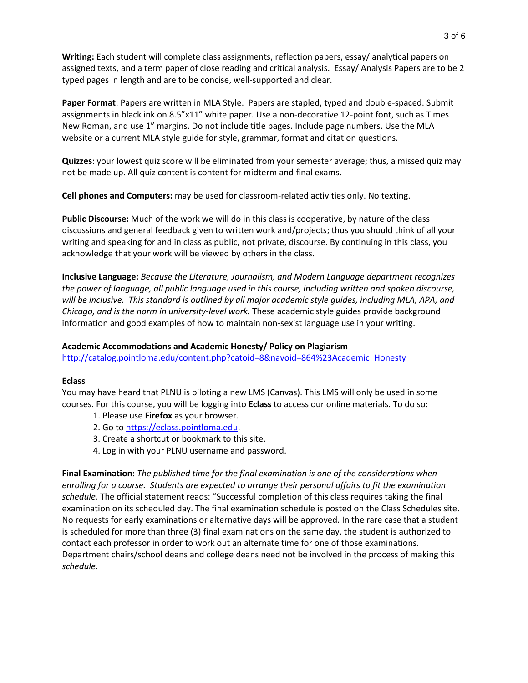**Writing:** Each student will complete class assignments, reflection papers, essay/ analytical papers on assigned texts, and a term paper of close reading and critical analysis. Essay/ Analysis Papers are to be 2 typed pages in length and are to be concise, well-supported and clear.

**Paper Format**: Papers are written in MLA Style. Papers are stapled, typed and double-spaced. Submit assignments in black ink on 8.5"x11" white paper. Use a non-decorative 12-point font, such as Times New Roman, and use 1" margins. Do not include title pages. Include page numbers. Use the MLA website or a current MLA style guide for style, grammar, format and citation questions.

**Quizzes**: your lowest quiz score will be eliminated from your semester average; thus, a missed quiz may not be made up. All quiz content is content for midterm and final exams.

**Cell phones and Computers:** may be used for classroom-related activities only. No texting.

**Public Discourse:** Much of the work we will do in this class is cooperative, by nature of the class discussions and general feedback given to written work and/projects; thus you should think of all your writing and speaking for and in class as public, not private, discourse. By continuing in this class, you acknowledge that your work will be viewed by others in the class.

**Inclusive Language:** *Because the Literature, Journalism, and Modern Language department recognizes the power of language, all public language used in this course, including written and spoken discourse, will be inclusive. This standard is outlined by all major academic style guides, including MLA, APA, and Chicago, and is the norm in university-level work.* These academic style guides provide background information and good examples of how to maintain non-sexist language use in your writing.

## **Academic Accommodations and Academic Honesty/ Policy on Plagiarism**

[http://catalog.pointloma.edu/content.php?catoid=8&navoid=864%23Academic\\_Honesty](http://catalog.pointloma.edu/content.php?catoid=8&navoid=864%23Academic_Honesty)

### **Eclass**

You may have heard that PLNU is piloting a new LMS (Canvas). This LMS will only be used in some courses. For this course, you will be logging into **Eclass** to access our online materials. To do so:

- 1. Please use **Firefox** as your browser.
- 2. Go to [https://eclass.pointloma.edu.](https://eclass.pointloma.edu/)
- 3. Create a shortcut or bookmark to this site.
- 4. Log in with your PLNU username and password.

**Final Examination:** *The published time for the final examination is one of the considerations when enrolling for a course. Students are expected to arrange their personal affairs to fit the examination schedule.* The official statement reads: "Successful completion of this class requires taking the final examination on its scheduled day. The final examination schedule is posted on the Class Schedules site. No requests for early examinations or alternative days will be approved. In the rare case that a student is scheduled for more than three (3) final examinations on the same day, the student is authorized to contact each professor in order to work out an alternate time for one of those examinations. Department chairs/school deans and college deans need not be involved in the process of making this *schedule.*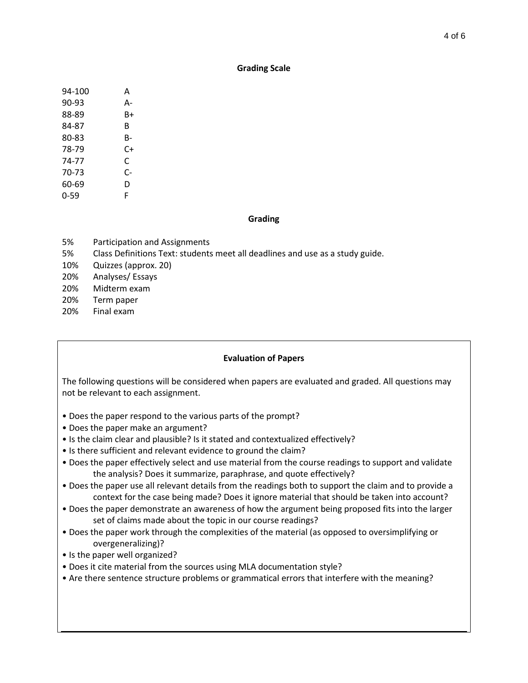#### **Grading Scale**

| 94-100 | А  |
|--------|----|
| 90-93  | А- |
| 88-89  | В+ |
| 84-87  | В  |
| 80-83  | B- |
| 78-79  | C+ |
| 74-77  | C  |
| 70-73  | C- |
| 60-69  | D  |
| 0-59   | F  |

#### **Grading**

- 5% Participation and Assignments
- 5% Class Definitions Text: students meet all deadlines and use as a study guide.
- 10% Quizzes (approx. 20)
- 20% Analyses/ Essays
- 20% Midterm exam
- 20% Term paper
- 20% Final exam

### **Evaluation of Papers**

The following questions will be considered when papers are evaluated and graded. All questions may not be relevant to each assignment.

- Does the paper respond to the various parts of the prompt?
- Does the paper make an argument?
- Is the claim clear and plausible? Is it stated and contextualized effectively?
- Is there sufficient and relevant evidence to ground the claim?
- Does the paper effectively select and use material from the course readings to support and validate the analysis? Does it summarize, paraphrase, and quote effectively?
- Does the paper use all relevant details from the readings both to support the claim and to provide a context for the case being made? Does it ignore material that should be taken into account?
- Does the paper demonstrate an awareness of how the argument being proposed fits into the larger set of claims made about the topic in our course readings?
- Does the paper work through the complexities of the material (as opposed to oversimplifying or overgeneralizing)?
- Is the paper well organized?
- Does it cite material from the sources using MLA documentation style?
- Are there sentence structure problems or grammatical errors that interfere with the meaning?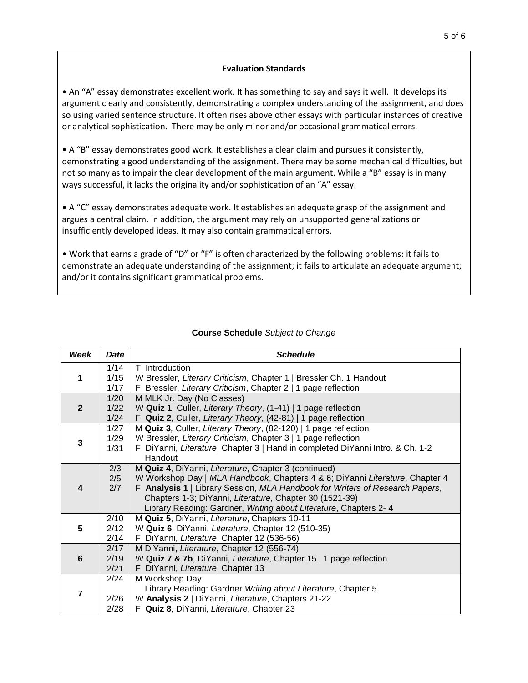## **Evaluation Standards**

• An "A" essay demonstrates excellent work. It has something to say and says it well. It develops its argument clearly and consistently, demonstrating a complex understanding of the assignment, and does so using varied sentence structure. It often rises above other essays with particular instances of creative or analytical sophistication. There may be only minor and/or occasional grammatical errors.

• A "B" essay demonstrates good work. It establishes a clear claim and pursues it consistently, demonstrating a good understanding of the assignment. There may be some mechanical difficulties, but not so many as to impair the clear development of the main argument. While a "B" essay is in many ways successful, it lacks the originality and/or sophistication of an "A" essay.

• A "C" essay demonstrates adequate work. It establishes an adequate grasp of the assignment and argues a central claim. In addition, the argument may rely on unsupported generalizations or insufficiently developed ideas. It may also contain grammatical errors.

• Work that earns a grade of "D" or "F" is often characterized by the following problems: it fails to demonstrate an adequate understanding of the assignment; it fails to articulate an adequate argument; and/or it contains significant grammatical problems.

| Week           | <b>Date</b>  | <b>Schedule</b>                                                                                                    |
|----------------|--------------|--------------------------------------------------------------------------------------------------------------------|
| 1              | 1/14         | T Introduction                                                                                                     |
|                | 1/15         | W Bressler, Literary Criticism, Chapter 1   Bressler Ch. 1 Handout                                                 |
|                | 1/17         | F Bressler, Literary Criticism, Chapter 2   1 page reflection                                                      |
| $\overline{2}$ | 1/20         | M MLK Jr. Day (No Classes)                                                                                         |
|                | 1/22         | W Quiz 1, Culler, Literary Theory, (1-41)   1 page reflection                                                      |
|                | 1/24         | F Quiz 2, Culler, Literary Theory, (42-81)   1 page reflection                                                     |
| 3              | 1/27         | M Quiz 3, Culler, Literary Theory, (82-120)   1 page reflection                                                    |
|                | 1/29         | W Bressler, Literary Criticism, Chapter 3   1 page reflection                                                      |
|                | 1/31         | F DiYanni, Literature, Chapter 3   Hand in completed DiYanni Intro. & Ch. 1-2                                      |
|                |              | Handout                                                                                                            |
| 4              | 2/3          | M Quiz 4, DiYanni, Literature, Chapter 3 (continued)                                                               |
|                | 2/5          | W Workshop Day   MLA Handbook, Chapters 4 & 6; DiYanni Literature, Chapter 4                                       |
|                | 2/7          | F Analysis 1   Library Session, MLA Handbook for Writers of Research Papers,                                       |
|                |              | Chapters 1-3; DiYanni, Literature, Chapter 30 (1521-39)                                                            |
|                |              | Library Reading: Gardner, Writing about Literature, Chapters 2-4                                                   |
| 5              | 2/10         | M Quiz 5, DiYanni, Literature, Chapters 10-11                                                                      |
|                | 2/12         | W Quiz 6, DiYanni, Literature, Chapter 12 (510-35)                                                                 |
|                | 2/14<br>2/17 | F DiYanni, Literature, Chapter 12 (536-56)                                                                         |
| 6              |              | M DiYanni, Literature, Chapter 12 (556-74)<br>W Quiz 7 & 7b, DiYanni, Literature, Chapter 15   1 page reflection   |
|                | 2/19<br>2/21 | F DiYanni, Literature, Chapter 13                                                                                  |
|                | 2/24         |                                                                                                                    |
| $\overline{7}$ |              | M Workshop Day                                                                                                     |
|                |              | Library Reading: Gardner Writing about Literature, Chapter 5<br>W Analysis 2   DiYanni, Literature, Chapters 21-22 |
|                | 2/26<br>2/28 | F Quiz 8, DiYanni, Literature, Chapter 23                                                                          |
|                |              |                                                                                                                    |

# **Course Schedule** *Subject to Change*